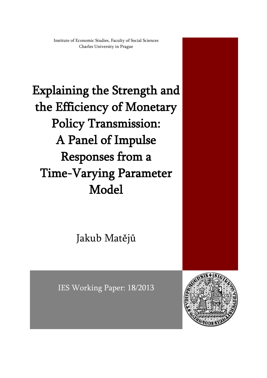Institute of Economic Studies, Faculty of Social Sciences Charles University in Prague

Explaining the Strength and the Efficiency of Monetary Policy Transmission: A Panel of Impulse Responses from a Time-Varying Parameter Model

Jakub Matějů

IES Working Paper: 18/2013

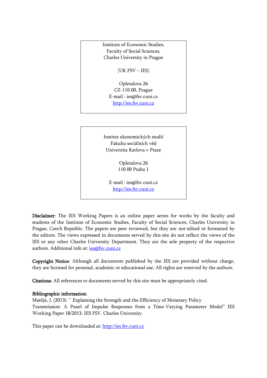Institute of Economic Studies, Faculty of Social Sciences, Charles University in Prague

[UK FSV – IES]

Opletalova 26 CZ-110 00, Prague E-mail : [ies@fsv.cuni.cz](mailto:IES@Mbox.FSV.CUNI.CZ) [http://ies.fsv.cuni.cz](http://ies.fsv.cuni.cz/)

Institut ekonomických studií Fakulta sociálních věd Univerzita Karlova v Praze

> Opletalova 26 110 00 Praha 1

E-mail : [ies@fsv.cuni.cz](mailto:IES@Mbox.FSV.CUNI.CZ) [http://ies.fsv.cuni.cz](http://ies.fsv.cuni.cz/)

Disclaimer: The IES Working Papers is an online paper series for works by the faculty and students of the Institute of Economic Studies, Faculty of Social Sciences, Charles University in Prague, Czech Republic. The papers are peer reviewed, but they are *not* edited or formatted by the editors. The views expressed in documents served by this site do not reflect the views of the IES or any other Charles University Department. They are the sole property of the respective authors. Additional info at: [ies@fsv.cuni.cz](mailto:ies@fsv.cuni.cz)

Copyright Notice: Although all documents published by the IES are provided without charge, they are licensed for personal, academic or educational use. All rights are reserved by the authors.

Citations: All references to documents served by this site must be appropriately cited.

### Bibliographic information:

Matějů, J. (2013). " Explaining the Strength and the Efficiency of Monetary Policy Transmission: A Panel of Impulse Responses from a Time-Varying Parameter Model" IES Working Paper 18/2013. IES FSV. Charles University.

This paper can be downloaded at: [http://ies.fsv.cuni.cz](http://ies.fsv.cuni.cz/)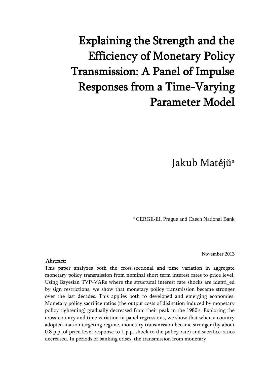# Explaining the Strength and the Efficiency of Monetary Policy Transmission: A Panel of Impulse Responses from a Time-Varying Parameter Model

Jakub Matějů<sup>a</sup>

<sup>a</sup> CERGE-EI, Prague and Czech National Bank

November 2013

#### Abstract:

This paper analyzes both the cross-sectional and time variation in aggregate monetary policy transmission from nominal short term interest rates to price level. Using Bayesian TVP-VARs where the structural interest rate shocks are identi\_ed by sign restrictions, we show that monetary policy transmission became stronger over the last decades. This applies both to developed and emerging economies. Monetary policy sacrifice ratios (the output costs of disination induced by monetary policy tightening) gradually decreased from their peak in the 1980's. Exploring the cross-country and time variation in panel regressions, we show that when a country adopted ination targeting regime, monetary transmission became stronger (by about 0.8 p.p. of price level response to 1 p.p. shock to the policy rate) and sacrifice ratios decreased. In periods of banking crises, the transmission from monetary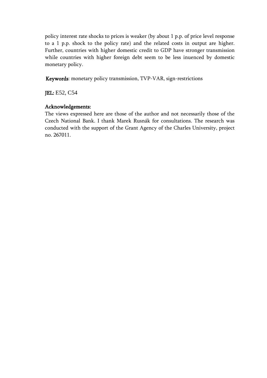policy interest rate shocks to prices is weaker (by about 1 p.p. of price level response to a 1 p.p. shock to the policy rate) and the related costs in output are higher. Further, countries with higher domestic credit to GDP have stronger transmission while countries with higher foreign debt seem to be less inuenced by domestic monetary policy.

Keywords: monetary policy transmission, TVP-VAR, sign-restrictions

JEL: E52, C54

# Acknowledgements:

The views expressed here are those of the author and not necessarily those of the Czech National Bank. I thank Marek Rusnák for consultations. The research was conducted with the support of the Grant Agency of the Charles University, project no. 267011.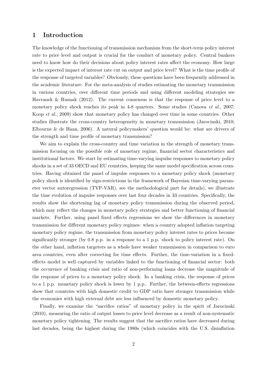# 1 Introduction

The knowledge of the functioning of transmission mechanism from the short-term policy interest rate to price level and output is crucial for the conduct of monetary policy. Central bankers need to know how do their decisions about policy interest rates affect the economy. How large is the expected impact of interest rate cut on output and price level? What is the time profile of the response of targeted variables? Obviously, these questions have been frequently addressed in the academic literature. For the meta-analysis of studies estimating the monetary transmission in various countries, over different time periods and using different modeling strategies see [Havranek & Rusnak](#page-20-0) [\(2012\)](#page-20-0). The current consensus is that the response of price level to a monetary policy shock reaches its peak in 4-8 quarters. Some studies [\(Canova](#page-19-0) *et al.*, [2007;](#page-19-0) [Koop](#page-20-1) et al., [2009\)](#page-20-1) show that monetary policy has changed over time in some countries. Other studies illustrate the cross-country heterogeneity in monetary transmission [\(Jarocinski,](#page-20-2) [2010;](#page-20-2) [Elbourne & de Haan,](#page-20-3) [2006\)](#page-20-3). A natural policymakers' question would be: what are drivers of the strength and time profile of monetary transmission?

We aim to explain the cross-country and time variation in the strength of monetary transmission focusing on the possible role of monetary regime, financial sector characteristics and institutional factors. We start by estimating time-varying impulse responses to monetary policy shocks in a set of 33 OECD and EU countries, keeping the same model specification across countries. Having obtained the panel of impulse responses to a monetary policy shock (monetary policy shock is identified by sign-restrictions in the framework of Bayesian time-varying parameter vector autoregression (TVP-VAR), see the methodological part for details), we illustrate the time evolution of impulse responses over last four decades in 33 countries. Specifically, the results show the shortening lag of monetary policy transmission during the observed period, which may reflect the changes in monetary policy strategies and better functioning of financial markets. Further, using panel fixed effects regressions we show the differences in monetary transmission for different monetary policy regimes: when a country adopted inflation targeting monetary policy regime, the transmission from monetary policy interest rates to prices became significantly stronger (by 0.8 p.p. in a response to a 1 p.p. shock to policy interest rate). On the other hand, inflation targeters as a whole have weaker transmission in comparison to euro area countries, even after correcting for time effects. Further, the time-variation in a fixedeffects model is well captured by variables linked to the functioning of financial sector: both the occurence of banking crisis and ratio of non-performing loans decrease the magnitude of the response of prices to a monetary policy shock. In a banking crisis, the response of prices to a 1 p.p. monetary policy shock is lower by 1 p.p.. Further, the between-effects regressions show that countries with high domestic credit to GDP ratio have stronger transmission while the economies with high external debt are less influenced by domestic monetary policy.

Finally, we examine the "sacrifice ratios" of monetary policy in the spirit of [Jarocinski](#page-20-2) [\(2010\)](#page-20-2), measuring the ratio of output losses to price level decrease as a result of non-systematic monetary policy tightening. The results suggest that the sacrifice ratios have decreased during last decades, being the highest during the 1980s (which coincides with the U.S. disinflation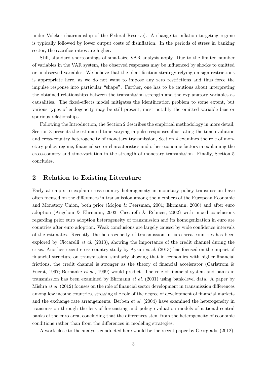under Volcker chairmanship of the Federal Reserve). A change to inflation targeting regime is typically followed by lower output costs of disinflation. In the periods of stress in banking sector, the sacrifice ratios are higher.

Still, standard shortcomings of small-size VAR analysis apply. Due to the limited number of variables in the VAR system, the observed responses may be influenced by shocks to omitted or unobserved variables. We believe that the identification strategy relying on sign restrictions is appropriate here, as we do not want to impose any zero restrictions and thus force the impulse response into particular "shape". Further, one has to be cautious about interpreting the obtained relationships between the transmission strength and the explanatory variables as causalities. The fixed-effects model mitigates the identification problem to some extent, but various types of endogeneity may be still present, most notably the omitted variable bias or spurious relationships.

Following the Introduction, the Section 2 describes the empirical methodology in more detail, Section 3 presents the estimated time-varying impulse responses illustrating the time-evolution and cross-country heterogeneity of monetary transmission, Section 4 examines the role of monetary policy regime, financial sector characteristics and other economic factors in explaining the cross-country and time-variation in the strength of monetary transmission. Finally, Section 5 concludes.

### 2 Relation to Existing Literature

Early attempts to explain cross-country heterogeneity in monetary policy transmission have often focused on the differences in transmission among the members of the European Economic and Monetary Union, both prior [\(Mojon & Peersman,](#page-20-4) [2001;](#page-20-4) [Ehrmann,](#page-20-5) [2000\)](#page-20-5) and after euro adoption [\(Angeloni & Ehrmann,](#page-19-1) [2003;](#page-19-1) [Ciccarelli & Rebucci,](#page-19-2) [2002\)](#page-19-2) with mixed conclusions regarding prior euro adoption heterogeneity of transmission and its homogenization in euro are countries after euro adoption. Weak conclusions are largely caused by wide confidence intervals of the estimates. Recently, the heterogeneity of transmission in euro area countries has been explored by [Ciccarelli](#page-19-3) *et al.* [\(2013\)](#page-19-3), showing the importance of the credit channel during the crisis. Another recent cross-country study by [Aysun](#page-19-4) et al. [\(2013\)](#page-19-4) has focused on the impact of financial structure on transmission, similarly showing that in economies with higher financial frictions, the credit channel is stronger as the theory of financial accelerator [\(Carlstrom &](#page-19-5) [Fuerst,](#page-19-5) [1997;](#page-19-5) [Bernanke](#page-19-6) et al., [1999\)](#page-19-6) would predict. The role of financial system and banks in transmission has been examined by [Ehrmann](#page-20-6) et al. [\(2001\)](#page-20-6) using bank-level data. A paper by [Mishra](#page-20-7) et al. [\(2012\)](#page-20-7) focuses on the role of financial sector development in transmission differences among low income countries, stressing the role of the degree of development of financial markets and the exchange rate arrangements. [Berben](#page-19-7) et al. [\(2004\)](#page-19-7) have examined the heterogeneity in transmission through the lens of forecasting and policy evaluation models of national central banks of the euro area, concluding that the differences stem from the heterogeneity of economic conditions rather than from the differences in modeling strategies.

A work close to the analysis conducted here would be the recent paper by [Georgiadis](#page-20-8) [\(2012\)](#page-20-8),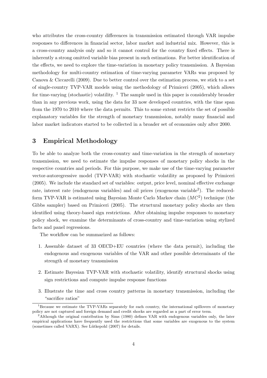who attributes the cross-country differences in transmission estimated through VAR impulse responses to differences in financial sector, labor market and industrial mix. However, this is a cross-country analysis only and so it cannot control for the country fixed effects. There is inherently a strong omitted variable bias present in such estimations. For better identification of the effects, we need to explore the time-variation in monetary policy transmission. A Bayesian methodology for multi-country estimation of time-varying parameter VARs was proposed by [Canova & Ciccarelli](#page-19-8) [\(2009\)](#page-19-8). Due to better control over the estimation process, we stick to a set of single-country TVP-VAR models using the methodology of [Primiceri](#page-20-9) [\(2005\)](#page-20-9), which allows for time-varying (stochastic) volatility.  $\frac{1}{1}$  $\frac{1}{1}$  $\frac{1}{1}$  The sample used in this paper is considerably broader than in any previous work, using the data for 33 now developed countries, with the time span from the 1970 to 2010 where the data permits. This to some extent restricts the set of possible explanatory variables for the strength of monetary transmission, notably many financial and labor market indicators started to be collected in a broader set of economies only after 2000.

# 3 Empirical Methodology

To be able to analyze both the cross-country and time-variation in the strength of monetary transmission, we need to estimate the impulse responses of monetary policy shocks in the respective countries and periods. For this purpose, we make use of the time-varying parameter vector-autoregressive model (TVP-VAR) with stochastic volatility as proposed by [Primiceri](#page-20-9) [\(2005\)](#page-20-9). We include the standard set of variables: output, price level, nominal effective exchange rate, interest rate (endogenous variables) and oil prices (exogenous variable<sup>[2](#page-6-1)</sup>). The reducedform TVP-VAR is estimated using Bayesian Monte Carlo Markov chain  $(MC<sup>2</sup>)$  technique (the Gibbs sampler) based on [Primiceri](#page-20-9) [\(2005\)](#page-20-9). The structural monetary policy shocks are then identified using theory-based sign restrictions. After obtaining impulse responses to monetary policy shock, we examine the determinants of cross-country and time-variation using stylized facts and panel regressions.

The workflow can be summarized as follows:

- 1. Assemble dataset of 33 OECD+EU countries (where the data permit), including the endogenous and exogenous variables of the VAR and other possible determinants of the strength of monetary transmission
- 2. Estimate Bayesian TVP-VAR with stochastic volatility, identify structural shocks using sign restrictions and compute impulse response functions
- 3. Illustrate the time and cross country patterns in monetary transmission, including the "sacrifice ratios"

<span id="page-6-0"></span><sup>&</sup>lt;sup>1</sup>Because we estimate the TVP-VARs separately for each country, the international spillovers of monetary policy are not captured and foreign demand and credit shocks are regarded as a part of error term.

<span id="page-6-1"></span><sup>&</sup>lt;sup>2</sup>Although the original contribution by [Sims](#page-21-0) [\(1980\)](#page-21-0) defines VAR with endogenous variables only, the later empirical applications have frequently used the restrictions that some variables are exogenous to the system (sometimes called VARX). See Lütkepohl  $(2007)$  for details.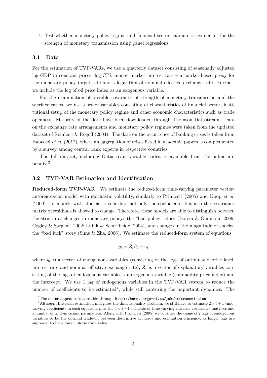4. Test whether monetary policy regime and financial sector characteristics matter for the strength of monetary transmission using panel regressions

#### 3.1 Data

For the estimation of TVP-VARs, we use a quarterly dataset consisting of seasonally adjusted log-GDP in constant prices, log-CPI, money market interest rate – a market-based proxy for the monetary policy target rate and a logarithm of nominal effective exchange rate. Further, we include the log of oil price index as an exogenous variable.

For the examination of possible covariates of strength of monetary transmission and the sacrifice ratios, we use a set of variables consisting of characteristics of financial sector, institutional setup of the monetary policy regime and other economic characteristics such as trade openness. Majority of the data have been downloaded through Thomson Datastream. Data on the exchange rate arrangements and monetary policy regimes were taken from the updated dataset of [Reinhart & Rogoff](#page-21-1) [\(2004\)](#page-21-1). The data on the occurrence of banking crises is taken from Babecký *et al.*  $(2012)$ , where an aggregation of crises listed in academic papers is complemented by a survey among central bank experts in respective countries.

The full dataset, including Datastream variable codes, is available from the online appendix.[3](#page-7-0) .

#### 3.2 TVP-VAR Estimation and Identification

Reduced-form TVP-VAR We estimate the reduced-form time-varying parameter vectorautoregression model with stochastic volatility, similarly to [Primiceri](#page-20-9) [\(2005\)](#page-20-9) and [Koop](#page-20-1) et al. [\(2009\)](#page-20-1). In models with stochastic volatility, not only the coefficients, but also the covariance matrix of residuals is allowed to change. Therefore, these models are able to distinguish between the structural changes in monetary policy: the "bad policy" story [\(Boivin & Giannoni,](#page-19-10) [2006;](#page-19-10) [Cogley & Sargent,](#page-19-11) [2002;](#page-19-11) [Lubik & Schorfheide,](#page-20-11) [2004\)](#page-20-11), and changes in the magnitude of shocks: the "bad luck" story [\(Sims & Zha,](#page-21-2) [2006\)](#page-21-2). We estimate the reduced-form system of equations

$$
y_t = Z_t \beta_t + u_t
$$

where  $y_t$  is a vector of endogenous variables (consisting of the logs of output and price level, interest rate and nominal effective exchange rate),  $Z_t$  is a vector of explanatory variables consisting of the lags of endogenous variables, an exogenous variable (commodity price index) and the intercept. We use 1 lag of endogenous variables in the TVP-VAR system to reduce the number of coefficients to be estimated<sup>[4](#page-7-1)</sup>, while still capturing the important dynamics. The

<span id="page-7-1"></span><span id="page-7-0"></span> $3$ The online appendix is accesible through  $http://home.cerge-ei.cz/jakubm/transmission$ 

<sup>&</sup>lt;sup>4</sup>Although Bayesian estimation mitigates the dimensionality problem, we still have to estimate  $2 \times 5 + 1$  timevarying coefficients in each equation, plus the  $4 \times 4 + 4$  elements of time-varying variance-covariance matrices and a number of time-invariant parameters. Along with [Primiceri](#page-20-9) [\(2005\)](#page-20-9) we consider the usage of 2 lags of endogenous variables to be the optimal trade-off between descriptive accuracy and estimation efficiency, as longer lags are supposed to have lower information value.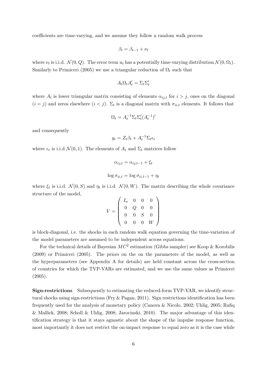coefficients are time-varying, and we assume they follow a random walk process

$$
\beta_t = \beta_{t-1} + \nu_t
$$

where  $\nu_t$  is i.i.d.  $\mathcal{N}(0, Q)$ . The error term  $u_t$  has a potentially time-varying distribution  $\mathcal{N}(0, \Omega_t)$ . Similarly to [Primiceri](#page-20-9) [\(2005\)](#page-20-9) we use a triangular reduction of  $\Omega_t$  such that

$$
A_t \Omega_t A_t' = \Sigma_t \Sigma_t'
$$

where  $A_t$  is lower triangular matrix consisting of elements  $\alpha_{ij,t}$  for  $i > j$ , ones on the diagonal  $(i = j)$  and zeros elsewhere  $(i < j)$ .  $\Sigma_t$  is a diagonal matrix with  $\sigma_{ii,t}$  elements. It follows that

$$
\Omega_t = A_t^{-1} \Sigma_t \Sigma_t' (A_t^{-1})'
$$

and consequently

$$
y_t = Z_t \beta_t + A_t^{-1} \Sigma_t \epsilon_t
$$

where  $\epsilon_t$  is i.i.d  $\mathcal{N}(0,1)$ . The elements of  $A_t$  and  $\Sigma_t$  matrices follow

$$
\alpha_{ij,t} = \alpha_{ij,t-1} + \xi_t
$$
  

$$
\log \sigma_{ii,t} = \log \sigma_{ii,t-1} + \eta_t
$$

where  $\xi_t$  is i.i.d.  $\mathcal{N}(0, S)$  and  $\eta_t$  is i.i.d.  $\mathcal{N}(0, W)$ . The matrix describing the whole covariance structure of the model,

$$
V = \left(\begin{array}{cccc} I_n & 0 & 0 & 0 \\ 0 & Q & 0 & 0 \\ 0 & 0 & S & 0 \\ 0 & 0 & 0 & W \end{array}\right)
$$

is block-diagonal, i.e. the shocks in each random walk equation governing the time-variation of the model parameters are assumed to be independent across equations.

For the technical details of Bayesian  $MC^2$  estimation (Gibbs sampler) see [Koop & Korobilis](#page-20-12) [\(2009\)](#page-20-12) or [Primiceri](#page-20-9) [\(2005\)](#page-20-9). The priors on the on the parameters of the model, as well as the hyperparameters (see Appendix [A](#page-22-0) for details) are held constant across the cross-section of countries for which the TVP-VARs are estimated, and we use the same values as [Primiceri](#page-20-9) [\(2005\)](#page-20-9).

Sign-restrictions Subsequently to estimating the reduced-form TVP-VAR, we identify structural shocks using sign-restrictions [\(Fry & Pagan,](#page-20-13) [2011\)](#page-20-13). Sign restrictions identification has been frequently used for the analysis of monetary policy [\(Canova & Nicolo,](#page-19-12) [2002;](#page-19-12) [Uhlig,](#page-21-3) [2005;](#page-21-3) [Rafiq](#page-20-14) [& Mallick,](#page-20-14) [2008;](#page-20-14) [Scholl & Uhlig,](#page-21-4) [2008;](#page-21-4) [Jarocinski,](#page-20-2) [2010\)](#page-20-2). The major advantage of this identification strategy is that it stays agnostic about the shape of the impulse response function, most importantly it does not restrict the on-impact response to equal zero as it is the case while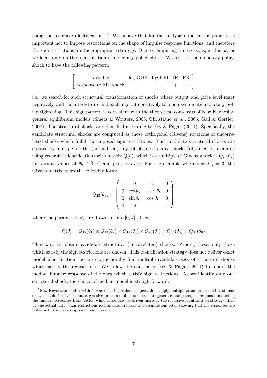using the recursive identification.  $5\,$  $5\,$  We believe that for the analysis done in this paper it is important not to impose restrictions on the shape of impulse response functions, and therefore the sign restrictions are the appropriate strategy. Due to computing time reasons, in this paper we focus only on the identification of monetary policy shock. We restrict the monetary policy shock to have the following pattern:

$$
\left[\begin{array}{ccc}\text{variable} & \log-\text{GDP} & \log-\text{CPI} & \text{IR} & \text{ER} \\ \text{response to MP shock} & - & - & + & +\end{array}\right]
$$

i.e. we search for such structural transformation of shocks where output and price level react negatively, and the interest rate and exchange rate positively to a non-systematic monetary policy tightening. This sign pattern is consistent with the theoretical consensus of New Keynesian general equilibrium models [\(Smets & Wouters,](#page-21-5) [2003;](#page-21-5) [Christiano](#page-19-13) et al., [2005;](#page-19-13) [Gali & Gertler,](#page-20-15) [2007\)](#page-20-15). The structural shocks are identified according to [Fry & Pagan](#page-20-13) [\(2011\)](#page-20-13). Specifically, the candidate structural shocks are computed as those orthogonal (Givens) rotations of uncorrelated shocks which fulfill the imposed sign restrictions. The candidate structural shocks are created by multiplying the (normalized) any set of uncorrelated shocks (obtained for example using recursive identification) with matrix  $Q(\theta)$ , which is a multiple of Givens matrices  $Q_{ij}(\theta_k)$ for various values of  $\theta_k \in [0, \pi]$  and positions i, j. For the example where  $i = 2, j = 3$ , the Givens matrix takes the following form:

$$
Q_{23}(\theta_k) = \begin{pmatrix} 1 & 0 & 0 & 0 \\ 0 & \cos \theta_k & -\sin \theta_k & 0 \\ 0 & \sin \theta_k & \cos \theta_k & 0 \\ 0 & 0 & 0 & 1 \end{pmatrix}
$$

where the parameters  $\theta_k$  are drawn from  $U[0, \pi]$ . Then

$$
Q(\theta) = Q_{12}(\theta_1) \times Q_{13}(\theta_2) \times Q_{14}(\theta_3) \times Q_{23}(\theta_4) \times Q_{24}(\theta_5) \times Q_{34}(\theta_6)
$$

That way, we obtain candidate structural (uncorrelated) shocks. Among these, only those which satisfy the sign restrictions are chosen. This identification strategy does not deliver exact model identification, because we generally find multiple candidate sets of structural shocks which satisfy the restrictions. We follow the consensus (Fry  $\&$  Pagan, [2011\)](#page-20-13) to report the median impulse response of the ones which satisfy sign restrictions. As we identify only one structural shock, the choice of median model is straightforward.

<span id="page-9-0"></span> $5$ New Keynesian models with forward-looking rational expectations apply multiple assumptions on investment delays, habit formation, autoregressive processes of shocks, etc. to generate hump-shaped responses matching the impulse responses from VARs, while these may be driven more by the recursive identification strategy than by the actual data. Sign restrictions identification relaxes this assumption, often showing that the responses are faster with the peak response coming earlier.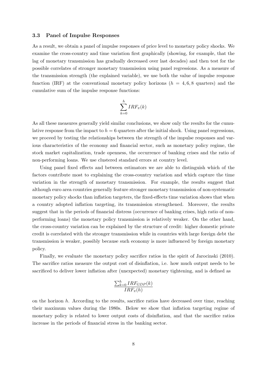#### 3.3 Panel of Impulse Responses

As a result, we obtain a panel of impulse responses of price level to monetary policy shocks. We examine the cross-country and time variation first graphically (showing, for example, that the lag of monetary transmission has gradually decreased over last decades) and then test for the possible correlates of stronger monetary transmission using panel regressions. As a measure of the transmission strength (the explained variable), we use both the value of impulse response function (IRF) at the conventional monetary policy horizons ( $h = 4, 6, 8$  quarters) and the cumulative sum of the impulse response functions:

$$
\sum_{k=0}^h IRF_{\pi}(k)
$$

As all these measures generally yield similar conclusions, we show only the results for the cumulative response from the impact to  $h = 6$  quarters after the initial shock. Using panel regressions, we proceed by testing the relationships between the strength of the impulse responses and various characteristics of the economy and financial sector, such as monetary policy regime, the stock market capitalization, trade openness, the occurrence of banking crises and the ratio of non-performing loans. We use clustered standard errors at country level.

Using panel fixed effects and between estimators we are able to distinguish which of the factors contribute most to explaining the cross-country variation and which capture the time variation in the strength of monetary transmission. For example, the results suggest that although euro area countries generally feature stronger monetary transmission of non-systematic monetary policy shocks than inflation targeters, the fixed-effects time variation shows that when a country adopted inflation targeting, its transmission strengthened. Moreover, the results suggest that in the periods of financial distress (occurrence of banking crises, high ratio of nonperforming loans) the monetary policy transmission is relatively weaker. On the other hand, the cross-country variation can be explained by the structure of credit: higher domestic private credit is correlated with the stronger transmission while in countries with large foreign debt the transmission is weaker, possibly because such economy is more influenced by foreign monetary policy.

Finally, we evaluate the monetary policy sacrifice ratios in the spirit of [Jarocinski](#page-20-2) [\(2010\)](#page-20-2). The sacrifice ratios measure the output cost of disinflation, i.e. how much output needs to be sacrificed to deliver lower inflation after (unexpected) monetary tightening, and is defined as

$$
\frac{\sum_{k=0}^{h}IRF_{GDP}(k)}{IRF_{\pi}(h)}
$$

on the horizon  $h$ . According to the results, sacrifice ratios have decreased over time, reaching their maximum values during the 1980s. Below we show that inflation targeting regime of monetary policy is related to lower output costs of disinflation, and that the sacrifice ratios increase in the periods of financial stress in the banking sector.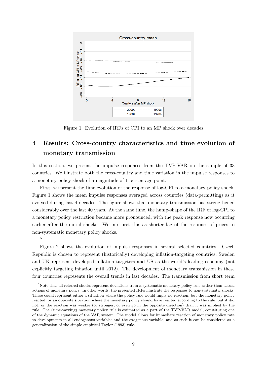<span id="page-11-0"></span>

Figure 1: Evolution of IRFs of CPI to an MP shock over decades

# 4 Results: Cross-country characteristics and time evolution of monetary transmission

In this section, we present the impulse responses from the TVP-VAR on the sample of 33 countries. We illustrate both the cross-country and time variation in the impulse responses to a monetary policy shock of a magintude of 1 percentage point.

First, we present the time evolution of the response of log-CPI to a monetary policy shock. Figure [1](#page-11-0) shows the mean impulse responses averaged across countries (data-permitting) as it evolved during last 4 decades. The figure shows that monetary transmission has strengthened considerably over the last 40 years. At the same time, the hump-shape of the IRF of log-CPI to a monetary policy restriction became more pronounced, with the peak response now occurring earlier after the initial shocks. We interpret this as shorter lag of the response of prices to non-systematic monetary policy shocks.

[6](#page-11-1)

Figure [2](#page-12-0) shows the evolution of impulse responses in several selected countries. Czech Republic is chosen to represent (historically) developing inflation-targeting countries, Sweden and UK represent developed inflation targeters and US as the world's leading economy (not explicitly targeting inflation until 2012). The development of monetary transmission in these four countries represents the overall trends in last decades. The transmission from short term

<span id="page-11-1"></span> $6$ Note that all referred shocks represent deviations from a systematic monetary policy rule rather than actual actions of monetary policy. In other words, the presented IRFs illustrate the responses to non-systematic shocks. These could represent either a situation where the policy rule would imply no reaction, but the monetary policy reacted, or an opposite situation where the monetary policy should have reacted according to the rule, but it did not, or the reaction was weaker (or stronger, or even go in the opposite direction) than it was implied by the rule. The (time-varying) monetary policy rule is estimated as a part of the TVP-VAR model, constituting one of the dynamic equations of the VAR system. The model allows for immediate reaction of monetary policy rate to developments in all endogenous variables and the exogenous variable, and as such it can be considered as a generalization of the simple empirical [Taylor](#page-21-6) [\(1993\)](#page-21-6)-rule.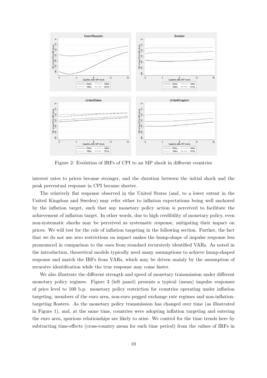<span id="page-12-0"></span>

Figure 2: Evolution of IRFs of CPI to an MP shock in different countries

interest rates to prices became stronger, and the duration between the initial shock and the peak percentual response in CPI became shorter.

The relatively flat response observed in the United States (and, to a lower extent in the United Kingdom and Sweden) may refer either to inflation expectations being well anchored by the inflation target, such that any monetary policy action is perceived to facilitate the achievement of inflation target. In other words, due to high credibility of monetary policy, even non-systematic shocks may be perceived as systematic response, mitigating their impact on prices. We will test for the role of inflation targeting in the following section. Further, the fact that we do not use zero restrictions on impact makes the hump-shape of impulse response less pronounced in comparison to the ones from standard recursively identified VARs. As noted in the introduction, theoretical models typically need many assumptions to achieve hump-shaped response and match the IRFs from VARs, which may be driven mainly by the assumption of recursive identification while the true response may come faster.

We also illustrate the different strength and speed of monetary transmission under different monetary policy regimes. Figure [3](#page-14-0) (left panel) presents a typical (mean) impulse responses of price level to 100 b.p. monetary policy restriction for countries operating under inflation targeting, members of the euro area, non-euro pegged exchange rate regimes and non-inflationtargeting floaters. As the monetary policy transmission has changed over time (as illustrated in Figure [1\)](#page-11-0), and, at the same time, countries were adopting inflation targeting and entering the euro area, spurious relationships are likely to arise. We control for the time trends here by subtracting time-effects (cross-country mean for each time period) from the values of IRFs in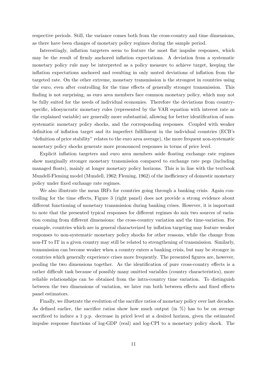respective periods. Still, the variance comes both from the cross-country and time dimensions, as there have been changes of monetary policy regimes during the sample period.

Interestingly, inflation targeters seem to feature the most flat impulse responses, which may be the result of firmly anchored inflation expectations. A deviation from a systematic monetary policy rule may be interpreted as a policy measure to achieve target, keeping the inflation expectations anchored and resulting in only muted deviations of inflation from the targeted rate. On the other extreme, monetary transmission is the strongest in countries using the euro, even after controlling for the time effects of generally stronger transmission. This finding is not surprising, as euro area members face common monetary policy, which may not be fully suited for the needs of individual economies. Therefore the deviations from countryspecific, idiosyncratic monetary rules (represented by the VAR equation with interest rate as the explained variable) are generally more substantial, allowing for better identification of nonsystematic monetary policy shocks, and the corresponding responses. Coupled with weaker definition of inflation target and its imperfect fulfillment in the individual countries (ECB's "definition of price stability" relates to the euro area average), the more frequent non-systematic monetary policy shocks generate more pronounced responses in terms of price level.

Explicit inflation targeters and euro area members aside floating exchange rate regimes show marginally stronger monetary transmission compared to exchange rate pegs (including managed floats), mainly at longer monetary policy horizons. This is in line with the textbook Mundell-Fleming model [\(Mundell,](#page-20-16) [1962;](#page-20-16) [Fleming,](#page-20-17) [1962\)](#page-20-17) of the inefficiency of domestic monetary policy under fixed exchange rate regimes.

We also illustrate the mean IRFs for countries going through a banking crisis. Again controlling for the time effects, Figure [3](#page-14-0) (right panel) does not provide a strong evidence about different functioning of monetary transmission during banking crises. However, it is important to note that the presented typical responses for different regimes do mix two sources of variation coming from different dimensions: the cross-country variation and the time-variation. For example, countries which are in general characterized by inflation targeting may feature weaker responses to non-systematic monetary policy shocks for other reasons, while the change from non-IT to IT in a given country may still be related to strengthening of transmission. Similarly, transmission can become weaker when a country enters a banking crisis, but may be stronger in countries which generally experience crises more frequently. The presented figures are, however, pooling the two dimensions together. As the identification of pure cross-country effects is a rather difficult task because of possibly many omitted variables (country characteristics), more reliable relationships can be obtained from the intra-country time variation. To distinguish between the two dimensions of variation, we later run both between effects and fixed effects panel estimators.

Finally, we illustrate the evolution of the sacrifice ratios of monetary policy over last decades. As defined earlier, the sacrifice ratios show how much output (in %) has to be on average sacrificed to induce a 1 p.p. decrease in pricel level at a desired horizon, given the estimated impulse response functions of log-GDP (real) and log-CPI to a monetary policy shock. The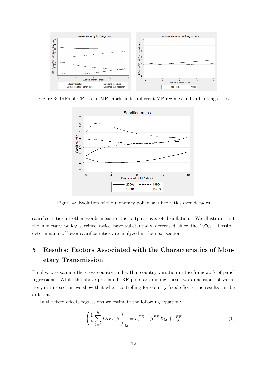<span id="page-14-0"></span>

Figure 3: IRFs of CPI to an MP shock under different MP regimes and in banking crises



Figure 4: Evolution of the monetary policy sacrifice ratios over decades

sacrifice ratios in other words measure the output costs of disinflation. We illustrate that the monetary policy sacrifice ratios have substantially decreased since the 1970s. Possible determinants of lower sacrifice ratios are analyzed in the next section.

# 5 Results: Factors Associated with the Characteristics of Monetary Transmission

Finally, we examine the cross-country and within-country variation in the framework of panel regressions. While the above presented IRF plots are mixing these two dimensions of variation, in this section we show that when controlling for country fixed-effects, the results can be different.

In the fixed effects regressions we estimate the following equation:

$$
\left(\frac{1}{h}\sum_{k=0}^{h} IRF_{\pi}(k)\right)_{i,t} = \alpha_i^{FE} + \beta^{FE}X_{i,t} + \varepsilon_{i,t}^{FE}
$$
\n(1)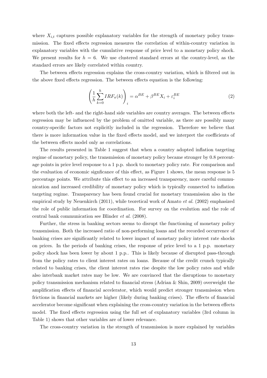where  $X_{i,t}$  captures possible explanatory variables for the strength of monetary policy transmission. The fixed effects regression measures the correlation of within-country variation in explanatory variables with the cumulative response of price level to a monetary policy shock. We present results for  $h = 6$ . We use clustered standard errors at the country-level, as the standard errors are likely correlated within country.

The between effects regression explains the cross-country variation, which is filtered out in the above fixed effects regression. The between effects equation is the following:

$$
\left(\frac{1}{h}\sum_{k=0}^{h}IRF_{\pi}(k)\right)_{i} = \alpha^{BE} + \beta^{BE}X_{i} + \varepsilon_{i}^{BE}
$$
\n(2)

where both the left- and the right-hand side variables are country averages. The between effects regression may be influenced by the problem of omitted variable, as there are possibly many country-specific factors not explicitly included in the regression. Therefore we believe that there is more information value in the fixed effects model, and we interpret the coefficients of the between effects model only as correlations.

The results presented in Table [1](#page-16-0) suggest that when a country adopted inflation targeting regime of monetary policy, the transmission of monetary policy became stronger by 0.8 percentage points in price level response to a 1 p.p. shock to monetary policy rate. For comparison and the evaluation of economic signficance of this effect, as Figure [1](#page-11-0) shows, the mean response is 5 percentage points. We attribute this effect to an increased transparency, more careful communication and increased credibility of monetary policy which is typically connected to inflation targeting regime. Transparency has been found crucial for monetary transmission also in the empirical study by [Neuenkirch](#page-20-18) [\(2011\)](#page-20-18), while teoretical work of [Amato](#page-19-14) et al. [\(2002\)](#page-19-14) emphasized the role of public information for coordination. For survey on the evolution and the role of central bank communication see [Blinder](#page-19-15) et al. [\(2008\)](#page-19-15).

Further, the stress in banking sectors seems to disrupt the functioning of monetary policy transmission. Both the increased ratio of non-performing loans and the recorded occurrence of banking crises are significantly related to lower impact of monetary policy interest rate shocks on prices. In the periods of banking crises, the response of price level to a 1 p.p. monetary policy shock has been lower by about 1 p.p.. This is likely because of disrupted pass-through from the policy rates to client interest rates on loans. Because of the credit crunch typically related to banking crises, the client interest rates rise despite the low policy rates and while also interbank market rates may be low. We are convinced that the disruptions to monetary policy transmission mechanism related to financial stress [\(Adrian & Shin,](#page-19-16) [2009\)](#page-19-16) overweight the amplification effects of financial accelerator, which would predict stronger transmission when frictions in financial markets are higher (likely during banking crises). The effects of financial accelerator become significant when explaining the cross-country variation in the between effects model. The fixed effects regression using the full set of explanatory variables (3rd column in Table [1\)](#page-16-0) shows that other variables are of lower relevance.

The cross-country variation in the strength of transmission is more explained by variables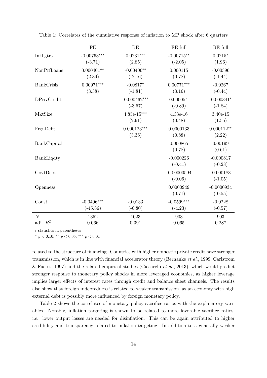| $-0.00763***$<br>$0.0231***$<br>$-0.00715**$<br>InfTgtrs<br>$0.0215*$<br>$(-3.71)$<br>$(-2.05)$<br>(1.96)<br>(2.85)<br>$-0.00406**$<br>$0.000401**$<br>0.000115<br>$-0.00396$<br>NonPrfLoans<br>(0.78)<br>(2.39)<br>$(-2.16)$<br>$(-1.44)$<br>$0.00971***$<br>$0.00771***$<br>$-0.0817*$<br><b>BankCrisis</b><br>$-0.0267$<br>(3.38)<br>(3.16)<br>$(-1.81)$<br>$(-0.44)$ |
|--------------------------------------------------------------------------------------------------------------------------------------------------------------------------------------------------------------------------------------------------------------------------------------------------------------------------------------------------------------------------|
|                                                                                                                                                                                                                                                                                                                                                                          |
|                                                                                                                                                                                                                                                                                                                                                                          |
|                                                                                                                                                                                                                                                                                                                                                                          |
| $-0.000341*$<br>$-0.000462***$<br>$-0.0000541$<br><b>DPrivCredit</b><br>$(-0.89)$<br>$(-1.84)$<br>$(-3.67)$                                                                                                                                                                                                                                                              |
| $4.85e-15***$<br>$4.33e-16$<br>$3.40e-15$<br>MktSize<br>(2.91)<br>(0.48)<br>(1.55)                                                                                                                                                                                                                                                                                       |
| $0.000123***$<br>0.0000133<br>$0.000112**$<br>FrgnDebt<br>(3.36)<br>(0.88)<br>(2.22)                                                                                                                                                                                                                                                                                     |
| 0.000865<br>0.00199<br>BankCapital<br>(0.78)<br>(0.61)                                                                                                                                                                                                                                                                                                                   |
| $-0.000226$<br>$-0.000817$<br>BankLiqdty<br>$(-0.41)$<br>$(-0.28)$                                                                                                                                                                                                                                                                                                       |
| GovtDebt<br>$-0.00000594$<br>$-0.000183$<br>$(-0.06)$<br>$(-1.05)$                                                                                                                                                                                                                                                                                                       |
| 0.0000949<br>$-0.0000934$<br>Openness<br>(0.71)<br>$(-0.55)$                                                                                                                                                                                                                                                                                                             |
| $-0.0496***$<br>$-0.0599***$<br>$-0.0133$<br>$-0.0228$<br>Const<br>$(-45.86)$<br>$(-0.80)$<br>$(-4.23)$<br>$(-0.57)$                                                                                                                                                                                                                                                     |
| $\overline{N}$<br>1352<br>1023<br>903<br>903<br>adj. $R^2$<br>0.066<br>0.391<br>0.065<br>0.287                                                                                                                                                                                                                                                                           |

<span id="page-16-0"></span>Table 1: Correlates of the cumulative response of inflation to MP shock after 6 quarters

t statistics in parentheses

\*  $p < 0.10,$  \*\*  $p < 0.05,$  \*\*\*  $p < 0.01$ 

related to the structure of financing. Countries with higher domestic private credit have stronger transmission, which is in line with financial accelerator theory [\(Bernanke](#page-19-6) et al., [1999;](#page-19-6) [Carlstrom](#page-19-5) [& Fuerst,](#page-19-5) [1997\)](#page-19-5) and the related empirical studies [\(Ciccarelli](#page-19-3) *et al.*, [2013\)](#page-19-3), which would predict stronger response to monetary policy shocks in more leveraged economies, as higher leverage implies larger effects of interest rates through credit and balance sheet channels. The results also show that foreign indebtedness is related to weaker transmission, as an economy with high external debt is possibly more influenced by foreign monetary policy.

Table [2](#page-17-0) shows the correlates of monetary policy sacrifice ratios with the explanatory variables. Notably, inflation targeting is shown to be related to more favorable sacrifice ratios, i.e. lower output losses are needed for disinflation. This can be again attributed to higher credibility and transparency related to inflation targeting. In addition to a generally weaker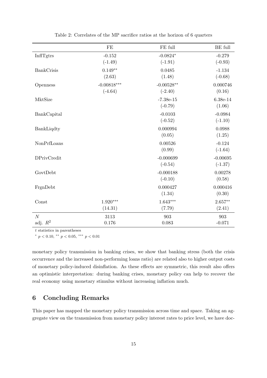<span id="page-17-0"></span>

|                              | FE                         | FE full                   | <b>BE</b> full          |
|------------------------------|----------------------------|---------------------------|-------------------------|
| InflTgtrs                    | $-0.152$<br>$(-1.49)$      | $-0.0824*$<br>$(-1.91)$   | $-0.279$<br>$(-0.93)$   |
| <b>BankCrisis</b>            | $0.149**$<br>(2.63)        | 0.0485<br>(1.48)          | $-1.134$<br>$(-0.68)$   |
| Openness                     | $-0.00818***$<br>$(-4.64)$ | $-0.00528**$<br>$(-2.40)$ | 0.000746<br>(0.16)      |
| MktSize                      |                            | $-7.38e-15$<br>$(-0.79)$  | 6.38e-14<br>(1.06)      |
| BankCapital                  |                            | $-0.0103$<br>$(-0.52)$    | $-0.0984$<br>$(-1.10)$  |
| BankLiqdty                   |                            | 0.000994<br>(0.05)        | 0.0988<br>(1.25)        |
| NonPrfLoans                  |                            | 0.00526<br>(0.99)         | $-0.124$<br>$(-1.64)$   |
| <b>DPrivCredit</b>           |                            | $-0.000699$<br>$(-0.54)$  | $-0.00695$<br>$(-1.37)$ |
| GovtDebt                     |                            | $-0.000188$<br>$(-0.10)$  | 0.00278<br>(0.58)       |
| FrgnDebt                     |                            | 0.000427<br>(1.34)        | 0.000416<br>(0.30)      |
| Const                        | $1.920***$<br>(14.31)      | $1.643***$<br>(7.79)      | $2.657**$<br>(2.41)     |
| $\overline{N}$<br>adj. $R^2$ | 3113<br>0.176              | 903<br>0.083              | 903<br>$-0.071$         |

Table 2: Correlates of the MP sacrifice ratios at the horizon of 6 quarters

t statistics in parentheses

\*  $p < 0.10,$  \*\*  $p < 0.05,$  \*\*\*  $p < 0.01$ 

monetary policy transmission in banking crises, we show that banking stress (both the crisis occurrence and the increased non-performing loans ratio) are related also to higher output costs of monetary policy-induced disinflation. As these effects are symmetric, this result also offers an optimistic interpretation: during banking crises, monetary policy can help to recover the real economy using monetary stimulus without increasing inflation much.

# 6 Concluding Remarks

This paper has mapped the monetary policy transmission across time and space. Taking an aggregate view on the transmission from monetary policy interest rates to price level, we have doc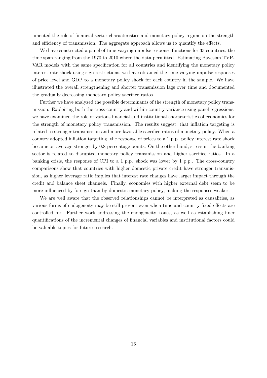umented the role of financial sector characteristics and monetary policy regime on the strength and efficiency of transmission. The aggregate approach allows us to quantify the effects.

We have constructed a panel of time-varying impulse response functions for 33 countries, the time span ranging from the 1970 to 2010 where the data permitted. Estimating Bayesian TVP-VAR models with the same specification for all countries and identifying the monetary policy interest rate shock using sign restrictions, we have obtained the time-varying impulse responses of price level and GDP to a monetary policy shock for each country in the sample. We have illustrated the overall strengthening and shorter transmission lags over time and documented the gradually decreasing monetary policy sacrifice ratios.

Further we have analyzed the possible determinants of the strength of monetary policy transmission. Exploiting both the cross-country and within-country variance using panel regressions, we have examined the role of various financial and institutional characteristics of economies for the strength of monetary policy transmission. The results suggest, that inflation targeting is related to stronger transmission and more favorable sacrifice ratios of monetary policy. When a country adopted inflation targeting, the response of prices to a 1 p.p. policy interest rate shock became on average stronger by 0.8 percentage points. On the other hand, stress in the banking sector is related to disrupted monetary policy transmission and higher sacrifice ratios. In a banking crisis, the response of CPI to a 1 p.p. shock was lower by 1 p.p.. The cross-country comparisons show that countries with higher domestic private credit have stronger transmission, as higher leverage ratio implies that interest rate changes have larger impact through the credit and balance sheet channels. Finally, economies with higher external debt seem to be more influenced by foreign than by domestic monetary policy, making the responses weaker.

We are well aware that the observed relationships cannot be interpreted as causalities, as various forms of endogeneity may be still present even when time and country fixed effects are controlled for. Further work addressing the endogeneity issues, as well as establishing finer quantifications of the incremental changes of financial variables and institutional factors could be valuable topics for future research.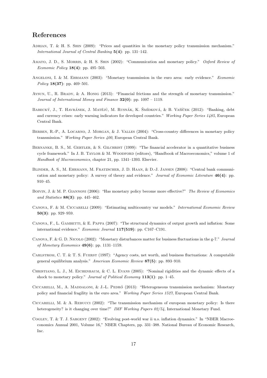# References

- <span id="page-19-16"></span>ADRIAN, T. & H. S. SHIN (2009): "Prices and quantities in the monetary policy transmission mechanism." International Journal of Central Banking 5(4): pp. 131–142.
- <span id="page-19-14"></span>Amato, J. D., S. Morris, & H. S. Shin (2002): "Communication and monetary policy." Oxford Review of *Economic Policy* **18(4)**: pp. 495–503.
- <span id="page-19-1"></span>ANGELONI, I. & M. EHRMANN (2003): "Monetary transmission in the euro area: early evidence." Economic Policy 18(37): pp. 469–501.
- <span id="page-19-4"></span>Aysun, U., R. Brady, & A. Honig (2013): "Financial frictions and the strength of monetary transmission." Journal of International Money and Finance  $32(0)$ : pp. 1097 – 1119.
- <span id="page-19-9"></span>BABECKÝ, J., T. HAVRÁNEK, J. MATĚJŮ, M. RUSNÁK, K. ŠMÍDKOVÁ, & B. VAŠÍČEK (2012): "Banking, debt and currency crises: early warning indicators for developed countries." Working Paper Series 1485, European Central Bank.
- <span id="page-19-7"></span>BERBEN, R.-P., A. LOCARNO, J. MORGAN, & J. VALLES (2004): "Cross-country differences in monetary policy transmission." Working Paper Series 400, European Central Bank.
- <span id="page-19-6"></span>BERNANKE, B. S., M. GERTLER, & S. GILCHRIST (1999): "The financial accelerator in a quantitative business cycle framework." In J. B. TAYLOR & M. WOODFORD (editors), "Handbook of Macroeconomics," volume 1 of Handbook of Macroeconomics, chapter 21, pp. 1341–1393. Elsevier.
- <span id="page-19-15"></span>Blinder, A. S., M. Ehrmann, M. Fratzscher, J. D. Haan, & D.-J. Jansen (2008): "Central bank communication and monetary policy: A survey of theory and evidence." Journal of Economic Literature 46(4): pp. 910–45.
- <span id="page-19-10"></span>BOIVIN, J. & M. P. GIANNONI (2006): "Has monetary policy become more effective?" The Review of Economics and Statistics 88(3): pp. 445–462.
- <span id="page-19-8"></span>Canova, F. & M. Ciccarelli (2009): "Estimating multicountry var models." International Economic Review 50(3): pp. 929–959.
- <span id="page-19-0"></span>CANOVA, F., L. GAMBETTI,  $&$  E. PAPPA (2007): "The structural dynamics of output growth and inflation: Some international evidence." Economic Journal 117(519): pp. C167–C191.
- <span id="page-19-12"></span>Canova, F. & G. D. Nicolo (2002): "Monetary disturbances matter for business fluctuations in the g-7." Journal of Monetary Economics  $49(6)$ : pp. 1131-1159.
- <span id="page-19-5"></span>Carlstrom, C. T. & T. S. Fuerst (1997): "Agency costs, net worth, and business fluctuations: A computable general equilibrium analysis." American Economic Review 87(5): pp. 893–910.
- <span id="page-19-13"></span>Christiano, L. J., M. Eichenbaum, & C. L. Evans (2005): "Nominal rigidities and the dynamic effects of a shock to monetary policy." Journal of Political Economy  $113(1)$ : pp. 1–45.
- <span id="page-19-3"></span>CICCARELLI, M., A. MADDALONI, & J.-L. PEDRÓ (2013): "Heterogeneous transmission mechanism: Monetary policy and financial fragility in the euro area." Working Paper Series 1527, European Central Bank.
- <span id="page-19-2"></span>Ciccarelli, M. & A. Rebucci (2002): "The transmission mechanism of european monetary policy: Is there heterogeneity? is it changing over time?" IMF Working Papers 02/54, International Monetary Fund.
- <span id="page-19-11"></span>Cogley, T. & T. J. Sargent (2002): "Evolving post-world war ii u.s. inflation dynamics." In "NBER Macroeconomics Annual 2001, Volume 16," NBER Chapters, pp. 331–388. National Bureau of Economic Research, Inc.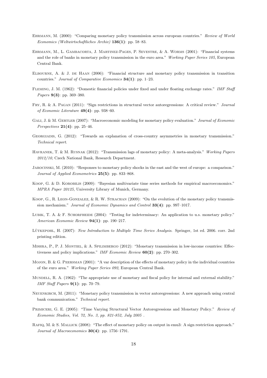- <span id="page-20-5"></span>Ehrmann, M. (2000): "Comparing monetary policy transmission across european countries." Review of World Economics (Weltwirtschaftliches Archiv) 136(1): pp. 58–83.
- <span id="page-20-6"></span>Ehrmann, M., L. Gambacorta, J. Martinez-Pages, P. Sevestre, & A. Worms (2001): "Financial systems and the role of banks in monetary policy transmission in the euro area." Working Paper Series 105, European Central Bank.
- <span id="page-20-3"></span>ELBOURNE, A. & J. DE HAAN (2006): "Financial structure and monetary policy transmission in transition countries." Journal of Comparative Economics  $34(1)$ : pp. 1–23.
- <span id="page-20-17"></span>Fleming, J. M. (1962): "Domestic financial policies under fixed and under floating exchange rates." IMF Staff Papers **9(3)**: pp. 369-380.
- <span id="page-20-13"></span>Fry, R. & A. Pagan (2011): "Sign restrictions in structural vector autoregressions: A critical review." Journal of Economic Literature 49(4): pp. 938–60.
- <span id="page-20-15"></span>GALI, J. & M. GERTLER (2007): "Macroeconomic modeling for monetary policy evaluation." Journal of Economic Perspectives  $21(4)$ : pp. 25–46.
- <span id="page-20-8"></span>Georgiadis, G. (2012): "Towards an explanation of cross-country asymmetries in monetary transmission." Technical report.
- <span id="page-20-0"></span>Havranek, T. & M. Rusnak (2012): "Transmission lags of monetary policy: A meta-analysis." Working Papers 2012/10, Czech National Bank, Research Department.
- <span id="page-20-2"></span>Jarocinski, M. (2010): "Responses to monetary policy shocks in the east and the west of europe: a comparison." Journal of Applied Econometrics 25(5): pp. 833–868.
- <span id="page-20-12"></span>Koop, G. & D. Korobilis (2009): "Bayesian multivariate time series methods for empirical macroeconomics." MPRA Paper 20125, University Library of Munich, Germany.
- <span id="page-20-1"></span>Koop, G., R. Leon-Gonzalez, & R. W. Strachan (2009): "On the evolution of the monetary policy transmission mechanism." Journal of Economic Dynamics and Control 33(4): pp. 997–1017.
- <span id="page-20-11"></span>LUBIK, T. A. & F. SCHORFHEIDE (2004): "Testing for indeterminacy: An application to u.s. monetary policy." American Economic Review 94(1): pp. 190–217.
- <span id="page-20-10"></span>LÜTKEPOHL, H. (2007): New Introduction to Multiple Time Series Analysis. Springer, 1st ed. 2006. corr. 2nd printing edition.
- <span id="page-20-7"></span>Mishra, P., P. J. Montiel, & A. Spilimbergo (2012): "Monetary transmission in low-income countries: Effectiveness and policy implications." IMF Economic Review 60(2): pp. 270–302.
- <span id="page-20-4"></span>Mojon, B. & G. Peersman (2001): "A var description of the effects of monetary policy in the individual countries of the euro area." Working Paper Series 092, European Central Bank.
- <span id="page-20-16"></span>MUNDELL, R. A. (1962): "The appropriate use of monetary and fiscal policy for internal and external stability." IMF Staff Papers 9(1): pp. 70–79.
- <span id="page-20-18"></span>Neuenkirch, M. (2011): "Monetary policy transmission in vector autoregressions: A new approach using central bank communication." Technical report.
- <span id="page-20-9"></span>Primiceri, G. E. (2005): "Time Varying Structural Vector Autoregressions and Monetary Policy." Review of Economic Studies, Vol. 72, No. 3, pp. 821-852, July 2005 .
- <span id="page-20-14"></span>Rafiq, M. & S. Mallick (2008): "The effect of monetary policy on output in emu3: A sign restriction approach." Journal of Macroeconomics 30(4): pp. 1756–1791.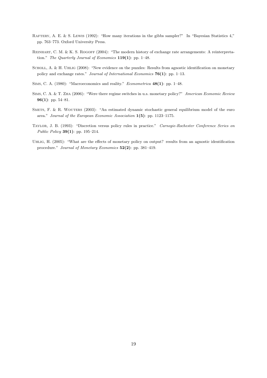- <span id="page-21-7"></span>RAFTERY, A. E. & S. LEWIS (1992): "How many iterations in the gibbs sampler?" In "Bayesian Statistics 4," pp. 763–773. Oxford University Press.
- <span id="page-21-1"></span>REINHART, C. M. & K. S. ROGOFF (2004): "The modern history of exchange rate arrangements: A reinterpretation." The Quarterly Journal of Economics  $119(1)$ : pp. 1–48.
- <span id="page-21-4"></span>SCHOLL, A. & H. UHLIG (2008): "New evidence on the puzzles: Results from agnostic identification on monetary policy and exchange rates." Journal of International Economics  $76(1)$ : pp. 1–13.
- <span id="page-21-0"></span>SIMS, C. A. (1980): "Macroeconomics and reality." *Econometrica* 48(1): pp. 1-48.
- <span id="page-21-2"></span>Sims, C. A. & T. Zha (2006): "Were there regime switches in u.s. monetary policy?" American Economic Review 96(1): pp. 54–81.
- <span id="page-21-5"></span>SMETS, F. & R. WOUTERS (2003): "An estimated dynamic stochastic general equilibrium model of the euro area." Journal of the European Economic Association 1(5): pp. 1123–1175.
- <span id="page-21-6"></span>Taylor, J. B. (1993): "Discretion versus policy rules in practice." Carnegie-Rochester Conference Series on Public Policy 39(1): pp. 195–214.
- <span id="page-21-3"></span>Uhlig, H. (2005): "What are the effects of monetary policy on output? results from an agnostic identification procedure." Journal of Monetary Economics 52(2): pp. 381–419.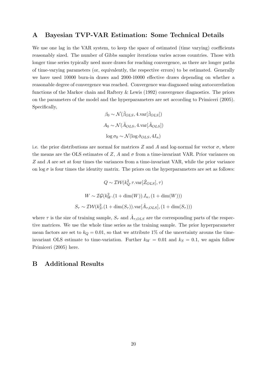### <span id="page-22-0"></span>A Bayesian TVP-VAR Estimation: Some Technical Details

We use one lag in the VAR system, to keep the space of estimated (time varying) coefficients reasonably sized. The number of Gibbs sampler iterations varies across countries. Those with longer time series typically need more draws for reaching convergence, as there are longer paths of time-varying parameters (or, equivalently, the respective errors) to be estimated. Generally we have used 10000 burn-in draws and 2000-10000 effective draws depending on whether a reasonable degree of convergence was reached. Convergence was diagnosed using autocorrelation functions of the Markov chain and [Raftery & Lewis](#page-21-7) [\(1992\)](#page-21-7) convergence diagnostics. The priors on the parameters of the model and the hyperparameters are set according to [Primiceri](#page-20-9) [\(2005\)](#page-20-9). Specifically,

$$
\beta_0 \sim \mathcal{N}(\hat{\beta}_{OLS}, 4 \text{ var}[\hat{\beta}_{OLS}])
$$
  

$$
A_0 \sim \mathcal{N}(\hat{A}_{OLS}, 4 \text{ var}[\hat{A}_{OLS}])
$$
  

$$
\log \sigma_0 \sim \mathcal{N}(\log \hat{\sigma}_{OLS}, 4I_n)
$$

i.e. the prior distributions are normal for matrices Z and A and log-normal for vector  $\sigma$ , where the means are the OLS estimates of Z, A and  $\sigma$  from a time-invariant VAR. Prior variances on Z and A are set at four times the variances from a time-invariant VAR, while the prior variance on  $\log \sigma$  is four times the identity matrix. The priors on the hyperparameters are set as follows:

$$
Q \sim \mathcal{IW}(k_Q^2.\tau.\text{var}[\hat{Z}_{OLS}], \tau)
$$
  

$$
W \sim \mathcal{IG}(k_W^2.(1 + \dim(W)).I_n, (1 + \dim(W)))
$$
  

$$
S_{\tau} \sim \mathcal{IW}(k_S^2.(1 + \dim(S_{\tau})).\text{var}[\hat{A}_{\tau,OLS}], (1 + \dim(S_{\tau})))
$$

where  $\tau$  is the size of training sample,  $S_{\tau}$  and  $\hat{A}_{\tau,OLS}$  are the corresponding parts of the respective matrices. We use the whole time series as the training sample. The prior hyperparameter mean factors are set to  $k_Q = 0.01$ , so that we attribute 1% of the uncertainty arouns the timeinvariant OLS estimate to time-variation. Further  $k_W = 0.01$  and  $k_S = 0.1$ , we again follow [Primiceri](#page-20-9) [\(2005\)](#page-20-9) here.

# B Additional Results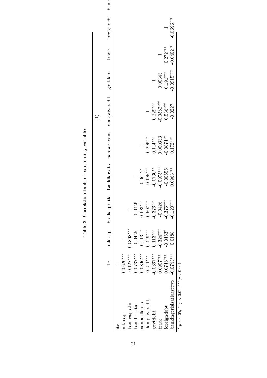| itc                                          |                | mktcap bankcapratio bankliqratio |                          |              | nonperfloans domprivcredit govtdebt |              | trade       | foreigndebt bank |  |
|----------------------------------------------|----------------|----------------------------------|--------------------------|--------------|-------------------------------------|--------------|-------------|------------------|--|
|                                              |                |                                  |                          |              |                                     |              |             |                  |  |
| $-0.0620***$                                 | $\overline{a}$ |                                  |                          |              |                                     |              |             |                  |  |
| $-0.128***$                                  | $0.0868***$    |                                  |                          |              |                                     |              |             |                  |  |
| $0.0737***$                                  | $-0.0455$      | $-0.0456$                        |                          |              |                                     |              |             |                  |  |
| $-0.0896***$                                 | $-0.113***$    | $0.193***$                       | $-0.0612*$               |              |                                     |              |             |                  |  |
| $0.211***$                                   |                |                                  | $0.195***$               | $-0.296***$  |                                     |              |             |                  |  |
| $0.0667***$                                  | $0.113***$     | $0.376***$                       | $-0.0730**$              | $0.114***$   | $0.229***$                          |              |             |                  |  |
| 0.0907***                                    | $0.324***$     | $-0.0426$                        | $0.0975***$              | 0.000333     |                                     | 0.00343      |             |                  |  |
| $0.0748***$                                  | $-0.0453*$     |                                  | $-0.00655$               | $-0.0874***$ | $0.536***$                          | $0.191***$   | $0.272***$  |                  |  |
| $-0.0743***$                                 | 0.0188         | $0.120***$                       | $0.0963***$              | $0.172***$   | $-0.0227$                           | $-0.0915***$ | $-0.0402**$ | $-0.0696***$     |  |
| $p < 0.05$ , ** $p < 0.01$ , *** $p < 0.001$ |                |                                  |                          |              |                                     |              |             |                  |  |
|                                              |                | $0.449***$                       | $0.507***$<br>$0.375***$ |              |                                     | $-0.0582***$ |             |                  |  |

Table 3: Correlation table of explanatory variables Table 3: Correlation table of explanatory variables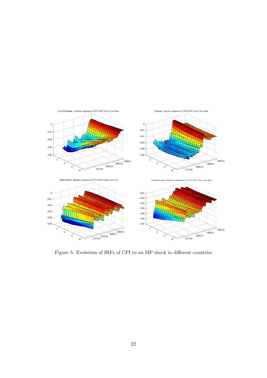

Figure 5: Evolution of IRFs of CPI to an MP shock in different countries